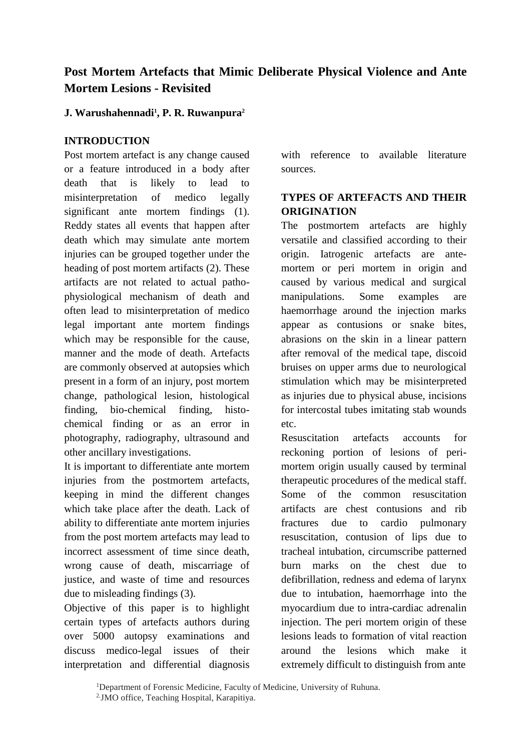# **Post Mortem Artefacts that Mimic Deliberate Physical Violence and Ante Mortem Lesions - Revisited**

### **J. Warushahennadi<sup>1</sup> , P. R. Ruwanpura<sup>2</sup>**

## **INTRODUCTION**

Post mortem artefact is any change caused or a feature introduced in a body after death that is likely to lead to misinterpretation of medico legally significant ante mortem findings (1). Reddy states all events that happen after death which may simulate ante mortem injuries can be grouped together under the heading of post mortem artifacts (2). These artifacts are not related to actual pathophysiological mechanism of death and often lead to misinterpretation of medico legal important ante mortem findings which may be responsible for the cause, manner and the mode of death. Artefacts are commonly observed at autopsies which present in a form of an injury, post mortem change, pathological lesion, histological finding, bio-chemical finding, histochemical finding or as an error in photography, radiography, ultrasound and other ancillary investigations.

It is important to differentiate ante mortem injuries from the postmortem artefacts, keeping in mind the different changes which take place after the death. Lack of ability to differentiate ante mortem injuries from the post mortem artefacts may lead to incorrect assessment of time since death, wrong cause of death, miscarriage of justice, and waste of time and resources due to misleading findings (3).

Objective of this paper is to highlight certain types of artefacts authors during over 5000 autopsy examinations and discuss medico-legal issues of their interpretation and differential diagnosis with reference to available literature sources.

## **TYPES OF ARTEFACTS AND THEIR ORIGINATION**

The postmortem artefacts are highly versatile and classified according to their origin. Iatrogenic artefacts are antemortem or peri mortem in origin and caused by various medical and surgical manipulations. Some examples are haemorrhage around the injection marks appear as contusions or snake bites, abrasions on the skin in a linear pattern after removal of the medical tape, discoid bruises on upper arms due to neurological stimulation which may be misinterpreted as injuries due to physical abuse, incisions for intercostal tubes imitating stab wounds etc.

Resuscitation artefacts accounts for reckoning portion of lesions of perimortem origin usually caused by terminal therapeutic procedures of the medical staff. Some of the common resuscitation artifacts are chest contusions and rib fractures due to cardio pulmonary resuscitation, contusion of lips due to tracheal intubation, circumscribe patterned burn marks on the chest due to defibrillation, redness and edema of larynx due to intubation, haemorrhage into the myocardium due to intra-cardiac adrenalin injection. The peri mortem origin of these lesions leads to formation of vital reaction around the lesions which make it extremely difficult to distinguish from ante

<sup>&</sup>lt;sup>1</sup>Department of Forensic Medicine, Faculty of Medicine, University of Ruhuna.

<sup>2.</sup>JMO office, Teaching Hospital, Karapitiya.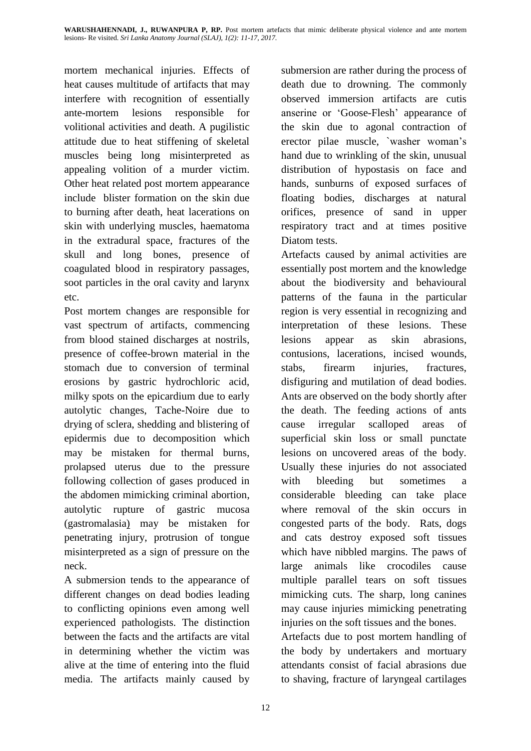mortem mechanical injuries. Effects of heat causes multitude of artifacts that may interfere with recognition of essentially ante-mortem lesions responsible for volitional activities and death. A pugilistic attitude due to heat stiffening of skeletal muscles being long misinterpreted as appealing volition of a murder victim. Other heat related post mortem appearance include blister formation on the skin due to burning after death, heat lacerations on skin with underlying muscles, haematoma in the extradural space, fractures of the skull and long bones, presence of coagulated blood in respiratory passages, soot particles in the oral cavity and larynx etc.

Post mortem changes are responsible for vast spectrum of artifacts, commencing from blood stained discharges at nostrils, presence of coffee-brown material in the stomach due to conversion of terminal erosions by gastric hydrochloric acid, milky spots on the epicardium due to early autolytic changes, Tache-Noire due to drying of sclera, shedding and blistering of epidermis due to decomposition which may be mistaken for thermal burns, prolapsed uterus due to the pressure following collection of gases produced in the abdomen mimicking criminal abortion, autolytic rupture of gastric mucosa (gastromalasia) may be mistaken for penetrating injury, protrusion of tongue misinterpreted as a sign of pressure on the neck.

A submersion tends to the appearance of different changes on dead bodies leading to conflicting opinions even among well experienced pathologists. The distinction between the facts and the artifacts are vital in determining whether the victim was alive at the time of entering into the fluid media. The artifacts mainly caused by submersion are rather during the process of death due to drowning. The commonly observed immersion artifacts are cutis anserine or 'Goose-Flesh' appearance of the skin due to agonal contraction of erector pilae muscle, `washer woman's hand due to wrinkling of the skin, unusual distribution of hypostasis on face and hands, sunburns of exposed surfaces of floating bodies, discharges at natural orifices, presence of sand in upper respiratory tract and at times positive Diatom tests.

Artefacts caused by animal activities are essentially post mortem and the knowledge about the biodiversity and behavioural patterns of the fauna in the particular region is very essential in recognizing and interpretation of these lesions. These lesions appear as skin abrasions, contusions, lacerations, incised wounds, stabs, firearm injuries, fractures, disfiguring and mutilation of dead bodies. Ants are observed on the body shortly after the death. The feeding actions of ants cause irregular scalloped areas of superficial skin loss or small punctate lesions on uncovered areas of the body. Usually these injuries do not associated with bleeding but sometimes a considerable bleeding can take place where removal of the skin occurs in congested parts of the body. Rats, dogs and cats destroy exposed soft tissues which have nibbled margins. The paws of large animals like crocodiles cause multiple parallel tears on soft tissues mimicking cuts. The sharp, long canines may cause injuries mimicking penetrating injuries on the soft tissues and the bones.

Artefacts due to post mortem handling of the body by undertakers and mortuary attendants consist of facial abrasions due to shaving, fracture of laryngeal cartilages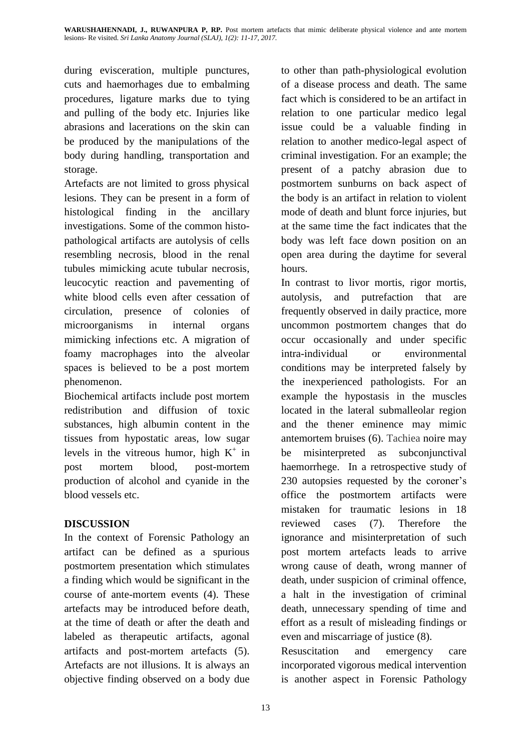during evisceration, multiple punctures, cuts and haemorhages due to embalming procedures, ligature marks due to tying and pulling of the body etc. Injuries like abrasions and lacerations on the skin can be produced by the manipulations of the body during handling, transportation and storage.

Artefacts are not limited to gross physical lesions. They can be present in a form of histological finding in the ancillary investigations. Some of the common histopathological artifacts are autolysis of cells resembling necrosis, blood in the renal tubules mimicking acute tubular necrosis, leucocytic reaction and pavementing of white blood cells even after cessation of circulation, presence of colonies of microorganisms in internal organs mimicking infections etc. A migration of foamy macrophages into the alveolar spaces is believed to be a post mortem phenomenon.

Biochemical artifacts include post mortem redistribution and diffusion of toxic substances, high albumin content in the tissues from hypostatic areas, low sugar levels in the vitreous humor, high  $K^+$  in post mortem blood, post-mortem production of alcohol and cyanide in the blood vessels etc.

## **DISCUSSION**

In the context of Forensic Pathology an artifact can be defined as a spurious postmortem presentation which stimulates a finding which would be significant in the course of ante-mortem events (4). These artefacts may be introduced before death, at the time of death or after the death and labeled as therapeutic artifacts, agonal artifacts and post-mortem artefacts (5). Artefacts are not illusions. It is always an objective finding observed on a body due

to other than path-physiological evolution of a disease process and death. The same fact which is considered to be an artifact in relation to one particular medico legal issue could be a valuable finding in relation to another medico-legal aspect of criminal investigation. For an example; the present of a patchy abrasion due to postmortem sunburns on back aspect of the body is an artifact in relation to violent mode of death and blunt force injuries, but at the same time the fact indicates that the body was left face down position on an open area during the daytime for several hours.

In contrast to livor mortis, rigor mortis, autolysis, and putrefaction that are frequently observed in daily practice, more uncommon postmortem changes that do occur occasionally and under specific intra-individual or environmental conditions may be interpreted falsely by the inexperienced pathologists. For an example the hypostasis in the muscles located in the lateral submalleolar region and the thener eminence may mimic antemortem bruises (6). Tachiea noire may be misinterpreted as subconjunctival haemorrhege. In a retrospective study of 230 autopsies requested by the coroner's office the postmortem artifacts were mistaken for traumatic lesions in 18 reviewed cases (7). Therefore the ignorance and misinterpretation of such post mortem artefacts leads to arrive wrong cause of death, wrong manner of death, under suspicion of criminal offence, a halt in the investigation of criminal death, unnecessary spending of time and effort as a result of misleading findings or even and miscarriage of justice (8).

Resuscitation and emergency care incorporated vigorous medical intervention is another aspect in Forensic Pathology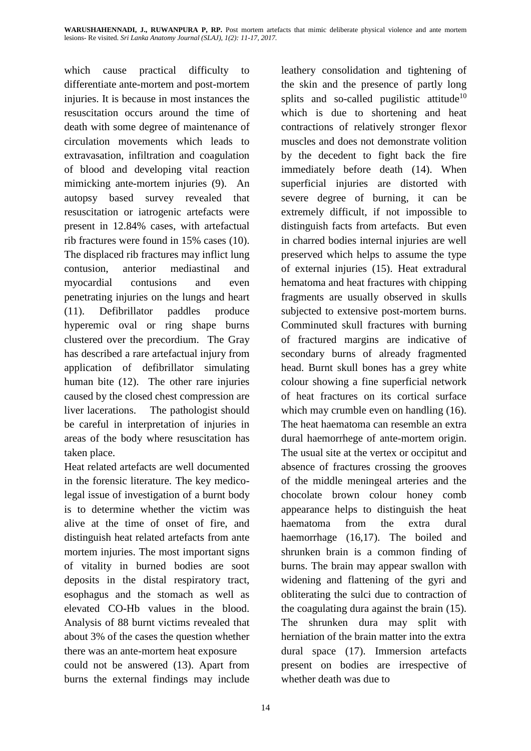which cause practical difficulty to differentiate ante-mortem and post-mortem injuries. It is because in most instances the resuscitation occurs around the time of death with some degree of maintenance of circulation movements which leads to extravasation, infiltration and coagulation of blood and developing vital reaction mimicking ante-mortem injuries (9). An autopsy based survey revealed that resuscitation or iatrogenic artefacts were present in 12.84% cases, with artefactual rib fractures were found in 15% cases (10). The displaced rib fractures may inflict lung contusion, anterior mediastinal and myocardial contusions and even penetrating injuries on the lungs and heart (11). Defibrillator paddles produce hyperemic oval or ring shape burns clustered over the precordium. The Gray has described a rare artefactual injury from application of defibrillator simulating human bite (12). The other rare injuries caused by the closed chest compression are liver lacerations. The pathologist should be careful in interpretation of injuries in areas of the body where resuscitation has taken place.

Heat related artefacts are well documented in the forensic literature. The key medicolegal issue of investigation of a burnt body is to determine whether the victim was alive at the time of onset of fire, and distinguish heat related artefacts from ante mortem injuries. The most important signs of vitality in burned bodies are soot deposits in the distal respiratory tract, esophagus and the stomach as well as elevated CO-Hb values in the blood. Analysis of 88 burnt victims revealed that about 3% of the cases the question whether there was an ante-mortem heat exposure could not be answered (13). Apart from burns the external findings may include leathery consolidation and tightening of the skin and the presence of partly long splits and so-called pugilistic attitude<sup>10</sup> which is due to shortening and heat contractions of relatively stronger flexor muscles and does not demonstrate volition by the decedent to fight back the fire immediately before death (14). When superficial injuries are distorted with severe degree of burning, it can be extremely difficult, if not impossible to distinguish facts from artefacts. But even in charred bodies internal injuries are well preserved which helps to assume the type of external injuries (15). Heat extradural hematoma and heat fractures with chipping fragments are usually observed in skulls subjected to extensive post-mortem burns. Comminuted skull fractures with burning of fractured margins are indicative of secondary burns of already fragmented head. Burnt skull bones has a grey white colour showing a fine superficial network of heat fractures on its cortical surface which may crumble even on handling (16). The heat haematoma can resemble an extra dural haemorrhege of ante-mortem origin. The usual site at the vertex or occipitut and absence of fractures crossing the grooves of the middle meningeal arteries and the chocolate brown colour honey comb appearance helps to distinguish the heat haematoma from the extra dural haemorrhage (16,17). The boiled and shrunken brain is a common finding of burns. The brain may appear swallon with widening and flattening of the gyri and obliterating the sulci due to contraction of the coagulating dura against the brain (15). The shrunken dura may split with herniation of the brain matter into the extra dural space (17). Immersion artefacts present on bodies are irrespective of whether death was due to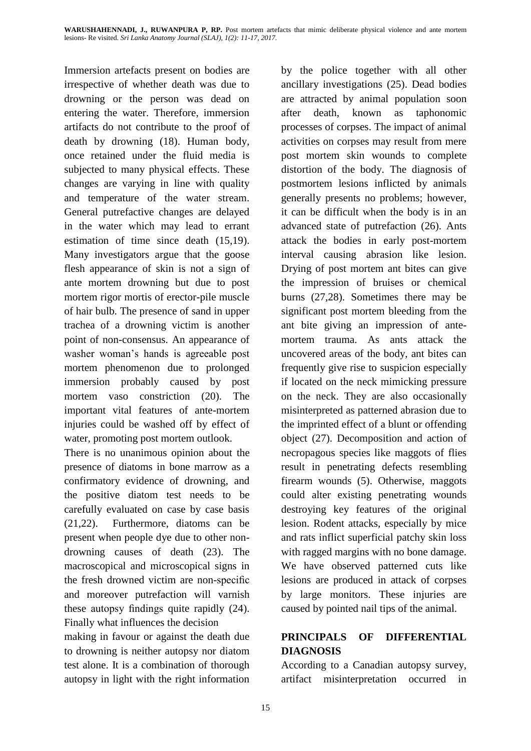Immersion artefacts present on bodies are irrespective of whether death was due to drowning or the person was dead on entering the water. Therefore, immersion artifacts do not contribute to the proof of death by drowning (18). Human body, once retained under the fluid media is subjected to many physical effects. These changes are varying in line with quality and temperature of the water stream. General putrefactive changes are delayed in the water which may lead to errant estimation of time since death (15,19). Many investigators argue that the goose flesh appearance of skin is not a sign of ante mortem drowning but due to post mortem rigor mortis of erector-pile muscle of hair bulb. The presence of sand in upper trachea of a drowning victim is another point of non-consensus. An appearance of washer woman's hands is agreeable post mortem phenomenon due to prolonged immersion probably caused by post mortem vaso constriction (20). The important vital features of ante-mortem injuries could be washed off by effect of water, promoting post mortem outlook.

There is no unanimous opinion about the presence of diatoms in bone marrow as a confirmatory evidence of drowning, and the positive diatom test needs to be carefully evaluated on case by case basis (21,22). Furthermore, diatoms can be present when people dye due to other nondrowning causes of death (23). The macroscopical and microscopical signs in the fresh drowned victim are non-specific and moreover putrefaction will varnish these autopsy findings quite rapidly (24). Finally what influences the decision

making in favour or against the death due to drowning is neither autopsy nor diatom test alone. It is a combination of thorough autopsy in light with the right information by the police together with all other ancillary investigations (25). Dead bodies are attracted by animal population soon after death, known as taphonomic processes of corpses. The impact of animal activities on corpses may result from mere post mortem skin wounds to complete distortion of the body. The diagnosis of postmortem lesions inflicted by animals generally presents no problems; however, it can be difficult when the body is in an advanced state of putrefaction (26). Ants attack the bodies in early post-mortem interval causing abrasion like lesion. Drying of post mortem ant bites can give the impression of bruises or chemical burns (27,28). Sometimes there may be significant post mortem bleeding from the ant bite giving an impression of antemortem trauma. As ants attack the uncovered areas of the body, ant bites can frequently give rise to suspicion especially if located on the neck mimicking pressure on the neck. They are also occasionally misinterpreted as patterned abrasion due to the imprinted effect of a blunt or offending object (27). Decomposition and action of necropagous species like maggots of flies result in penetrating defects resembling firearm wounds (5). Otherwise, maggots could alter existing penetrating wounds destroying key features of the original lesion. Rodent attacks, especially by mice and rats inflict superficial patchy skin loss with ragged margins with no bone damage. We have observed patterned cuts like lesions are produced in attack of corpses by large monitors. These injuries are caused by pointed nail tips of the animal.

## **PRINCIPALS OF DIFFERENTIAL DIAGNOSIS**

According to a Canadian autopsy survey, artifact misinterpretation occurred in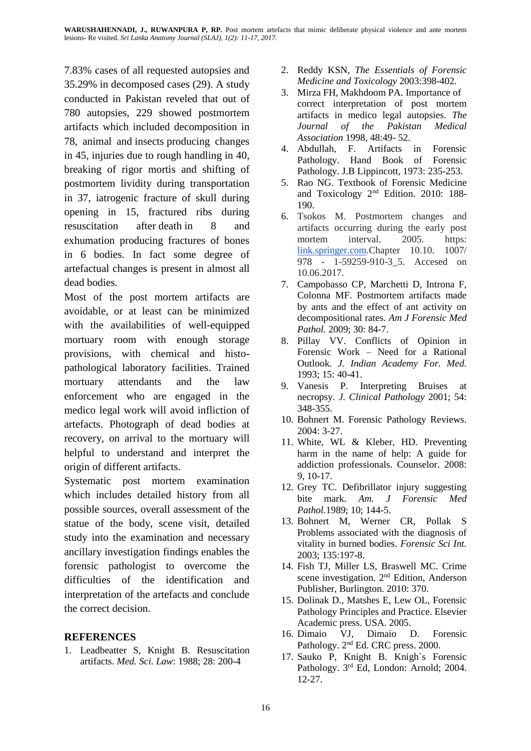7.83% cases of all requested autopsies and 35.29% in decomposed cases (29). A study conducted in Pakistan reveled that out of 780 autopsies, 229 showed postmortem artifacts which included decomposition in 78, animal and insects producing changes in 45, injuries due to rough handling in 40, breaking of rigor mortis and shifting of postmortem lividity during transportation in 37, iatrogenic fracture of skull during opening in 15, fractured ribs during resuscitation after death in 8 and exhumation producing fractures of bones in 6 bodies. In fact some degree of artefactual changes is present in almost all dead bodies.

Most of the post mortem artifacts are avoidable, or at least can be minimized with the availabilities of well-equipped mortuary room with enough storage provisions, with chemical and histopathological laboratory facilities. Trained mortuary attendants and the law enforcement who are engaged in the medico legal work will avoid infliction of artefacts. Photograph of dead bodies at recovery, on arrival to the mortuary will helpful to understand and interpret the origin of different artifacts.

Systematic post mortem examination which includes detailed history from all possible sources, overall assessment of the statue of the body, scene visit, detailed study into the examination and necessary ancillary investigation findings enables the forensic pathologist to overcome the difficulties of the identification and interpretation of the artefacts and conclude the correct decision.

#### **REFERENCES**

1. Leadbeatter S, Knight B. Resuscitation artifacts. *Med. Sci. Law*: 1988; 28: 200-4

- 2. Reddy KSN, *The Essentials of Forensic Medicine and Toxicology* 2003:398-402.
- 3. Mirza FH, Makhdoom PA. Importance of correct interpretation of post mortem artifacts in medico legal autopsies. *The Journal of the Pakistan Medical Association* 1998, 48:49- 52.
- 4. Abdullah, F. Artifacts in Forensic Pathology. Hand Book of Forensic Pathology. J.B Lippincott, 1973: 235-253.
- 5. Rao NG. Textbook of Forensic Medicine and Toxicology 2nd Edition. 2010: 188- 190.
- 6. Tsokos M. Postmortem changes and artifacts occurring during the early post mortem interval. 2005. https: [link.springer.com.](http://link.springer.com/)Chapter 10.10. 1007/ 978 - 1-59259-910-3 5. Accesed on 10.06.2017.
- 7. Campobasso CP, Marchetti D, Introna F, Colonna MF. Postmortem artifacts made by ants and the effect of ant activity on decompositional rates. *Am J Forensic Med Pathol.* 2009; 30: 84-7.
- 8. Pillay VV. Conflicts of Opinion in Forensic Work – Need for a Rational Outlook. *J. Indian Academy For. Med.* 1993; 15: 40-41.
- 9. Vanesis P. Interpreting Bruises at necropsy*. J. Clinical Pathology* 2001; 54: 348-355.
- 10. Bohnert M. Forensic Pathology Reviews. 2004: 3-27.
- 11. White, WL & Kleber, HD. Preventing harm in the name of help: A guide for addiction professionals. Counselor. 2008: 9, 10-17.
- 12. Grey TC. Defibrillator injury suggesting bite mark. *Am. J Forensic Med Pathol.*1989; 10; 144-5.
- 13. Bohnert M, Werner CR, Pollak S Problems associated with the diagnosis of vitality in burned bodies. *Forensic Sci Int.* 2003; 135:197-8.
- 14. Fish TJ, Miller LS, Braswell MC. Crime scene investigation. 2nd Edition, Anderson Publisher, Burlington. 2010: 370.
- 15. Dolinak D., Matshes E, Lew OL, Forensic Pathology Principles and Practice. Elsevier Academic press. USA. 2005.
- 16. Dimaio VJ, Dimaio D. Forensic Pathology. 2<sup>nd</sup> Ed. CRC press. 2000.
- 17. Sauko P, Knight B. Knigh`s Forensic Pathology. 3rd Ed, London: Arnold; 2004. 12-27.